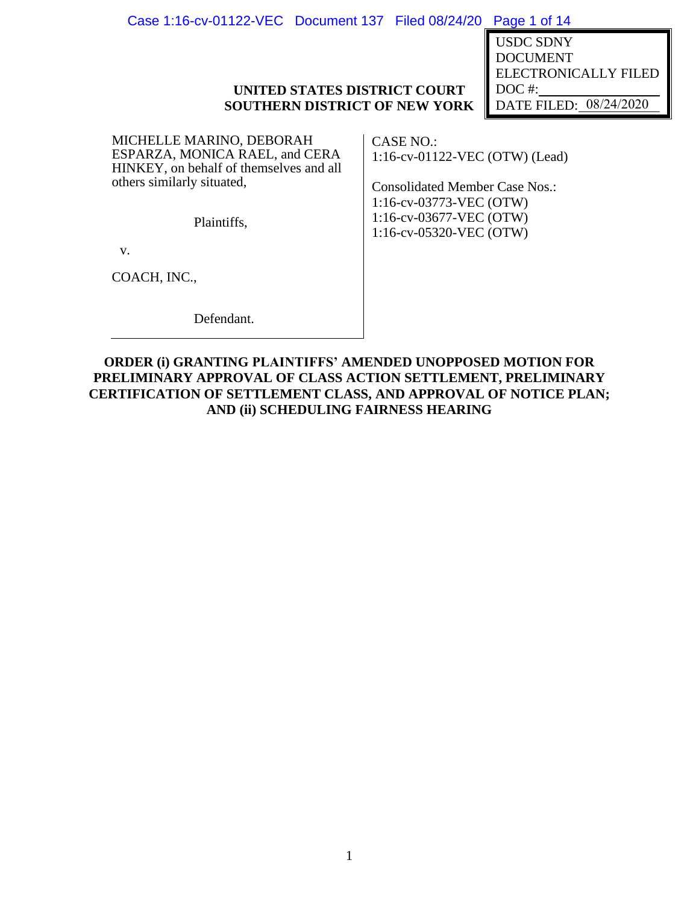| Case 1:16-cv-01122-VEC Document 137 Filed 08/24/20 Page 1 of 14 |  |  |  |
|-----------------------------------------------------------------|--|--|--|
|-----------------------------------------------------------------|--|--|--|

USDC SDNY<br>DOCUMENT<br>ELECTRONICALLY FILE<br>DOC #:\_\_\_\_\_\_\_\_\_\_\_\_\_08/24/2020 DOCUMENT ELECTRONICALLY FILED DOC #: DATE FILED: 08/24/2020

# **UNITED STATES DISTRICT COURT SOUTHERN DISTRICT OF NEW YORK**

MICHELLE MARINO, DEBORAH ESPARZA, MONICA RAEL, and CERA HINKEY, on behalf of themselves and all others similarly situated,

CASE NO.: 1:16-cv-01122-VEC (OTW) (Lead)

Consolidated Member Case Nos.: 1:16-cv-03773-VEC (OTW) 1:16-cv-03677-VEC (OTW) 1:16-cv-05320-VEC (OTW)

Plaintiffs,

v.

COACH, INC.,

Defendant.

**ORDER (i) GRANTING PLAINTIFFS' AMENDED UNOPPOSED MOTION FOR PRELIMINARY APPROVAL OF CLASS ACTION SETTLEMENT, PRELIMINARY CERTIFICATION OF SETTLEMENT CLASS, AND APPROVAL OF NOTICE PLAN; AND (ii) SCHEDULING FAIRNESS HEARING**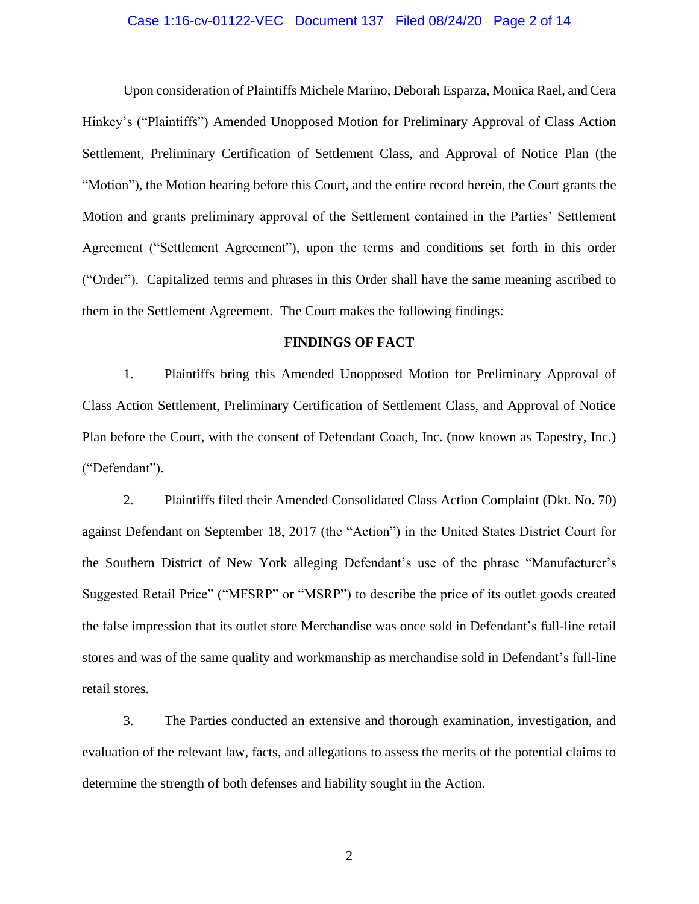# Case 1:16-cv-01122-VEC Document 137 Filed 08/24/20 Page 2 of 14

Upon consideration of Plaintiffs Michele Marino, Deborah Esparza, Monica Rael, and Cera Hinkey's ("Plaintiffs") Amended Unopposed Motion for Preliminary Approval of Class Action Settlement, Preliminary Certification of Settlement Class, and Approval of Notice Plan (the "Motion"), the Motion hearing before this Court, and the entire record herein, the Court grants the Motion and grants preliminary approval of the Settlement contained in the Parties' Settlement Agreement ("Settlement Agreement"), upon the terms and conditions set forth in this order ("Order"). Capitalized terms and phrases in this Order shall have the same meaning ascribed to them in the Settlement Agreement. The Court makes the following findings:

# **FINDINGS OF FACT**

1. Plaintiffs bring this Amended Unopposed Motion for Preliminary Approval of Class Action Settlement, Preliminary Certification of Settlement Class, and Approval of Notice Plan before the Court, with the consent of Defendant Coach, Inc. (now known as Tapestry, Inc.) ("Defendant").

2. Plaintiffs filed their Amended Consolidated Class Action Complaint (Dkt. No. 70) against Defendant on September 18, 2017 (the "Action") in the United States District Court for the Southern District of New York alleging Defendant's use of the phrase "Manufacturer's Suggested Retail Price" ("MFSRP" or "MSRP") to describe the price of its outlet goods created the false impression that its outlet store Merchandise was once sold in Defendant's full-line retail stores and was of the same quality and workmanship as merchandise sold in Defendant's full-line retail stores.

3. The Parties conducted an extensive and thorough examination, investigation, and evaluation of the relevant law, facts, and allegations to assess the merits of the potential claims to determine the strength of both defenses and liability sought in the Action.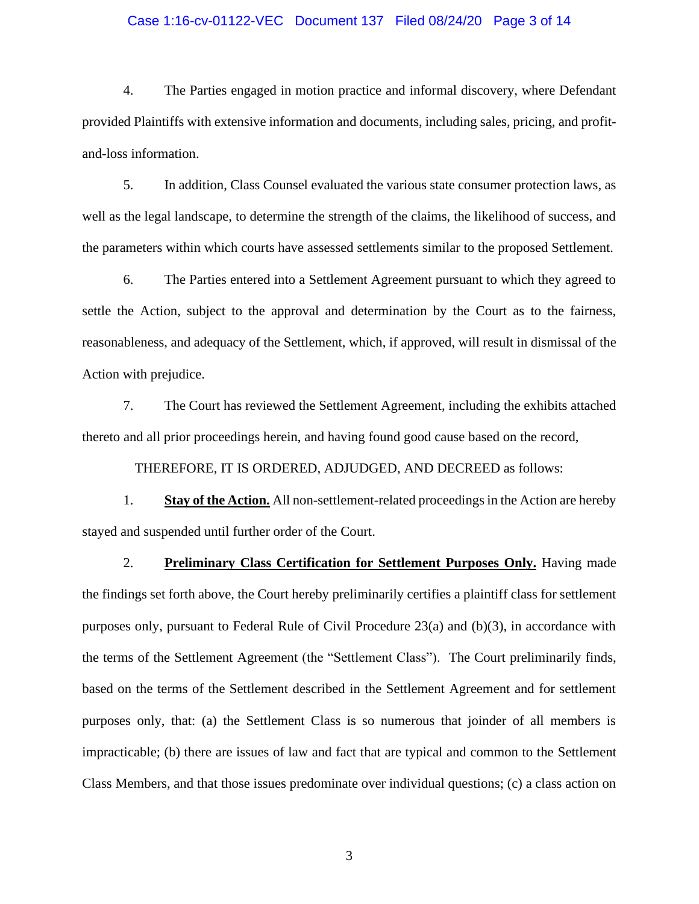# Case 1:16-cv-01122-VEC Document 137 Filed 08/24/20 Page 3 of 14

4. The Parties engaged in motion practice and informal discovery, where Defendant provided Plaintiffs with extensive information and documents, including sales, pricing, and profitand-loss information.

5. In addition, Class Counsel evaluated the various state consumer protection laws, as well as the legal landscape, to determine the strength of the claims, the likelihood of success, and the parameters within which courts have assessed settlements similar to the proposed Settlement.

6. The Parties entered into a Settlement Agreement pursuant to which they agreed to settle the Action, subject to the approval and determination by the Court as to the fairness, reasonableness, and adequacy of the Settlement, which, if approved, will result in dismissal of the Action with prejudice.

7. The Court has reviewed the Settlement Agreement, including the exhibits attached thereto and all prior proceedings herein, and having found good cause based on the record,

THEREFORE, IT IS ORDERED, ADJUDGED, AND DECREED as follows:

1. **Stay of the Action.** All non-settlement-related proceedings in the Action are hereby stayed and suspended until further order of the Court.

2. **Preliminary Class Certification for Settlement Purposes Only.** Having made the findings set forth above, the Court hereby preliminarily certifies a plaintiff class for settlement purposes only, pursuant to Federal Rule of Civil Procedure 23(a) and (b)(3), in accordance with the terms of the Settlement Agreement (the "Settlement Class"). The Court preliminarily finds, based on the terms of the Settlement described in the Settlement Agreement and for settlement purposes only, that: (a) the Settlement Class is so numerous that joinder of all members is impracticable; (b) there are issues of law and fact that are typical and common to the Settlement Class Members, and that those issues predominate over individual questions; (c) a class action on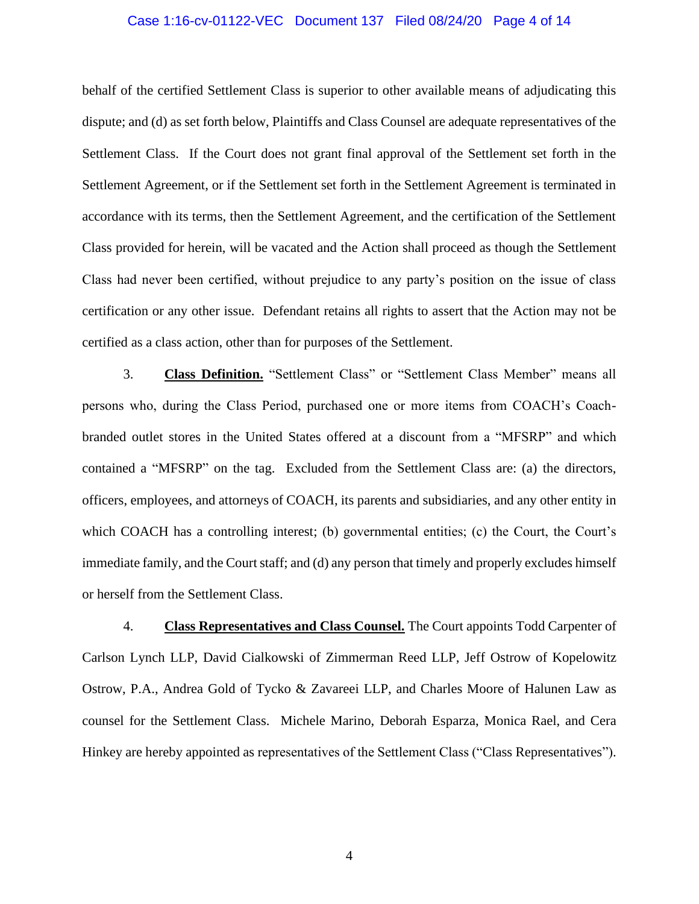# Case 1:16-cv-01122-VEC Document 137 Filed 08/24/20 Page 4 of 14

behalf of the certified Settlement Class is superior to other available means of adjudicating this dispute; and (d) as set forth below, Plaintiffs and Class Counsel are adequate representatives of the Settlement Class. If the Court does not grant final approval of the Settlement set forth in the Settlement Agreement, or if the Settlement set forth in the Settlement Agreement is terminated in accordance with its terms, then the Settlement Agreement, and the certification of the Settlement Class provided for herein, will be vacated and the Action shall proceed as though the Settlement Class had never been certified, without prejudice to any party's position on the issue of class certification or any other issue. Defendant retains all rights to assert that the Action may not be certified as a class action, other than for purposes of the Settlement.

3. **Class Definition.** "Settlement Class" or "Settlement Class Member" means all persons who, during the Class Period, purchased one or more items from COACH's Coachbranded outlet stores in the United States offered at a discount from a "MFSRP" and which contained a "MFSRP" on the tag. Excluded from the Settlement Class are: (a) the directors, officers, employees, and attorneys of COACH, its parents and subsidiaries, and any other entity in which COACH has a controlling interest; (b) governmental entities; (c) the Court, the Court's immediate family, and the Court staff; and (d) any person that timely and properly excludes himself or herself from the Settlement Class.

4. **Class Representatives and Class Counsel.** The Court appoints Todd Carpenter of Carlson Lynch LLP, David Cialkowski of Zimmerman Reed LLP, Jeff Ostrow of Kopelowitz Ostrow, P.A., Andrea Gold of Tycko & Zavareei LLP, and Charles Moore of Halunen Law as counsel for the Settlement Class. Michele Marino, Deborah Esparza, Monica Rael, and Cera Hinkey are hereby appointed as representatives of the Settlement Class ("Class Representatives").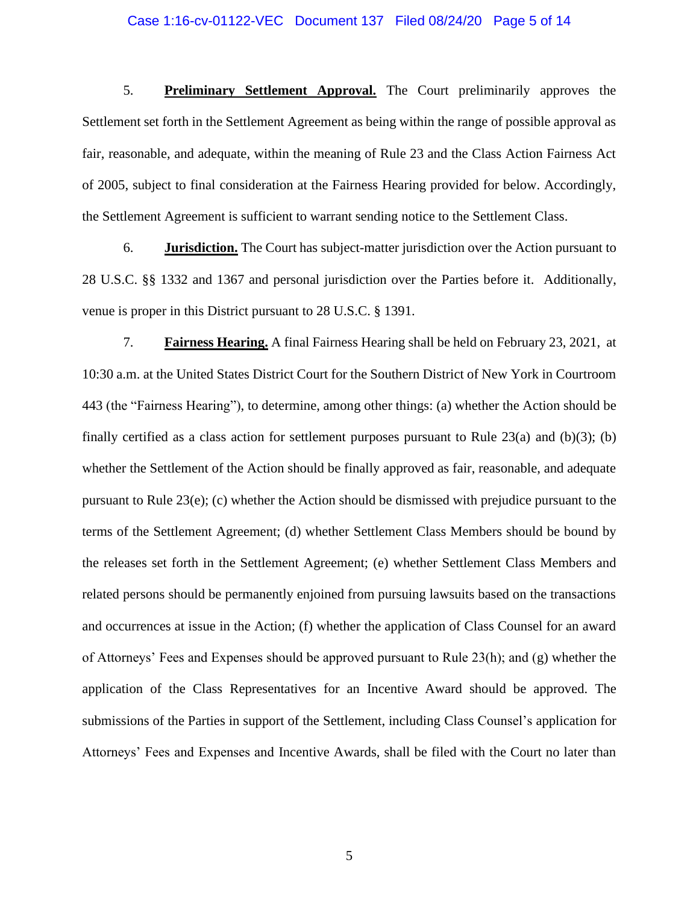# Case 1:16-cv-01122-VEC Document 137 Filed 08/24/20 Page 5 of 14

5. **Preliminary Settlement Approval.** The Court preliminarily approves the Settlement set forth in the Settlement Agreement as being within the range of possible approval as fair, reasonable, and adequate, within the meaning of Rule 23 and the Class Action Fairness Act of 2005, subject to final consideration at the Fairness Hearing provided for below. Accordingly, the Settlement Agreement is sufficient to warrant sending notice to the Settlement Class.

6. **Jurisdiction.** The Court has subject-matter jurisdiction over the Action pursuant to 28 U.S.C. §§ 1332 and 1367 and personal jurisdiction over the Parties before it. Additionally, venue is proper in this District pursuant to 28 U.S.C. § 1391.

7. **Fairness Hearing.** A final Fairness Hearing shall be held on February 23, 2021, at 10:30 a.m. at the United States District Court for the Southern District of New York in Courtroom 443 (the "Fairness Hearing"), to determine, among other things: (a) whether the Action should be finally certified as a class action for settlement purposes pursuant to Rule  $23(a)$  and (b)(3); (b) whether the Settlement of the Action should be finally approved as fair, reasonable, and adequate pursuant to Rule 23(e); (c) whether the Action should be dismissed with prejudice pursuant to the terms of the Settlement Agreement; (d) whether Settlement Class Members should be bound by the releases set forth in the Settlement Agreement; (e) whether Settlement Class Members and related persons should be permanently enjoined from pursuing lawsuits based on the transactions and occurrences at issue in the Action; (f) whether the application of Class Counsel for an award of Attorneys' Fees and Expenses should be approved pursuant to Rule 23(h); and (g) whether the application of the Class Representatives for an Incentive Award should be approved. The submissions of the Parties in support of the Settlement, including Class Counsel's application for Attorneys' Fees and Expenses and Incentive Awards, shall be filed with the Court no later than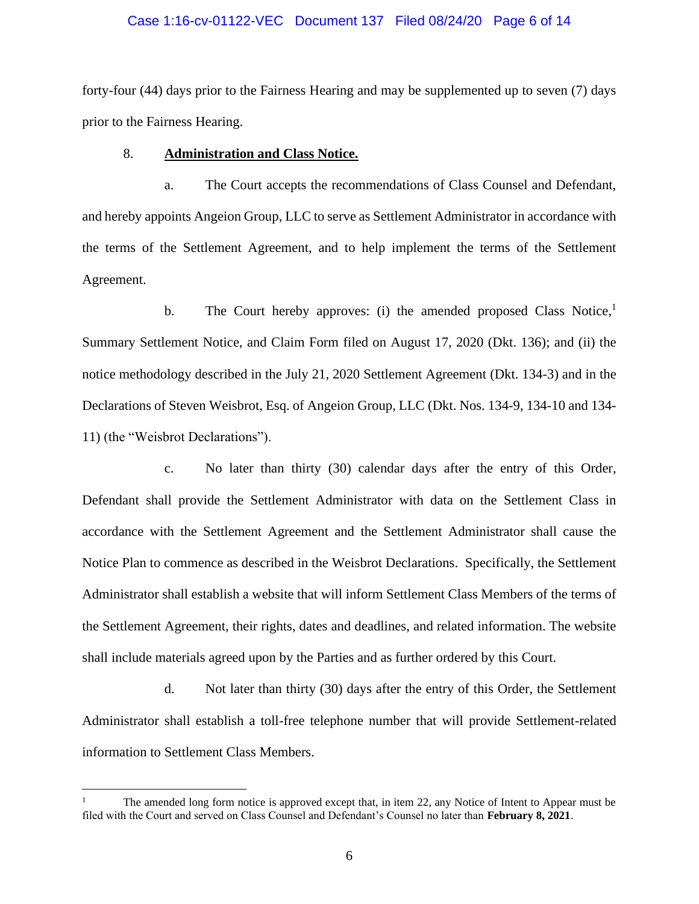# Case 1:16-cv-01122-VEC Document 137 Filed 08/24/20 Page 6 of 14

forty-four (44) days prior to the Fairness Hearing and may be supplemented up to seven (7) days prior to the Fairness Hearing.

### 8. **Administration and Class Notice.**

a. The Court accepts the recommendations of Class Counsel and Defendant, and hereby appoints Angeion Group, LLC to serve as Settlement Administrator in accordance with the terms of the Settlement Agreement, and to help implement the terms of the Settlement Agreement.

b. The Court hereby approves: (i) the amended proposed Class Notice,<sup>1</sup> Summary Settlement Notice, and Claim Form filed on August 17, 2020 (Dkt. 136); and (ii) the notice methodology described in the July 21, 2020 Settlement Agreement (Dkt. 134-3) and in the Declarations of Steven Weisbrot, Esq. of Angeion Group, LLC (Dkt. Nos. 134-9, 134-10 and 134- 11) (the "Weisbrot Declarations").

c. No later than thirty (30) calendar days after the entry of this Order, Defendant shall provide the Settlement Administrator with data on the Settlement Class in accordance with the Settlement Agreement and the Settlement Administrator shall cause the Notice Plan to commence as described in the Weisbrot Declarations. Specifically, the Settlement Administrator shall establish a website that will inform Settlement Class Members of the terms of the Settlement Agreement, their rights, dates and deadlines, and related information. The website shall include materials agreed upon by the Parties and as further ordered by this Court.

d. Not later than thirty (30) days after the entry of this Order, the Settlement Administrator shall establish a toll-free telephone number that will provide Settlement-related information to Settlement Class Members.

The amended long form notice is approved except that, in item 22, any Notice of Intent to Appear must be filed with the Court and served on Class Counsel and Defendant's Counsel no later than **February 8, 2021**.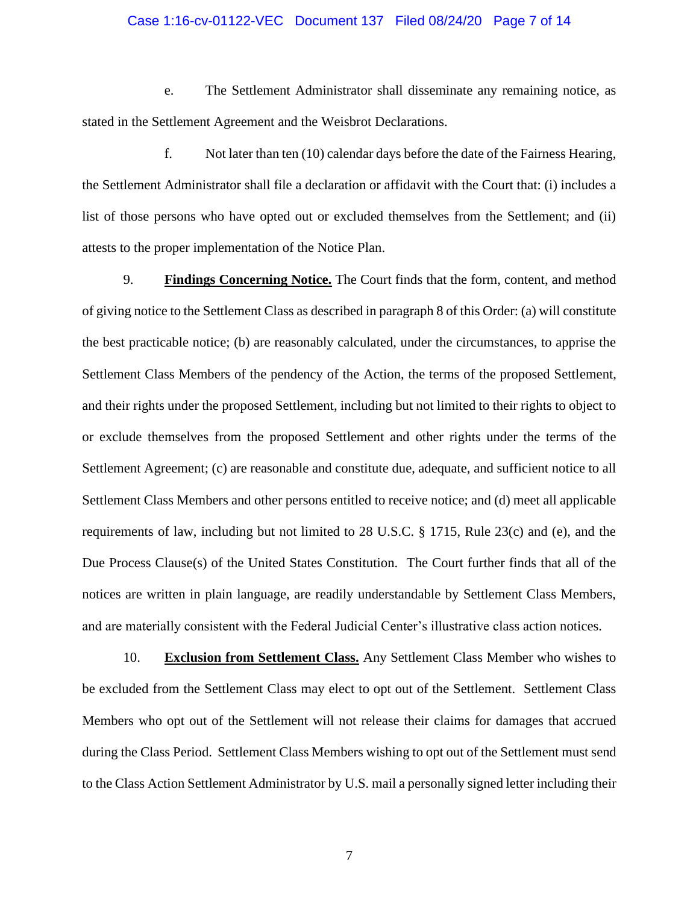# Case 1:16-cv-01122-VEC Document 137 Filed 08/24/20 Page 7 of 14

e. The Settlement Administrator shall disseminate any remaining notice, as stated in the Settlement Agreement and the Weisbrot Declarations.

f. Not later than ten (10) calendar days before the date of the Fairness Hearing, the Settlement Administrator shall file a declaration or affidavit with the Court that: (i) includes a list of those persons who have opted out or excluded themselves from the Settlement; and (ii) attests to the proper implementation of the Notice Plan.

9. **Findings Concerning Notice.** The Court finds that the form, content, and method of giving notice to the Settlement Class as described in paragraph 8 of this Order: (a) will constitute the best practicable notice; (b) are reasonably calculated, under the circumstances, to apprise the Settlement Class Members of the pendency of the Action, the terms of the proposed Settlement, and their rights under the proposed Settlement, including but not limited to their rights to object to or exclude themselves from the proposed Settlement and other rights under the terms of the Settlement Agreement; (c) are reasonable and constitute due, adequate, and sufficient notice to all Settlement Class Members and other persons entitled to receive notice; and (d) meet all applicable requirements of law, including but not limited to 28 U.S.C. § 1715, Rule 23(c) and (e), and the Due Process Clause(s) of the United States Constitution. The Court further finds that all of the notices are written in plain language, are readily understandable by Settlement Class Members, and are materially consistent with the Federal Judicial Center's illustrative class action notices.

10. **Exclusion from Settlement Class.** Any Settlement Class Member who wishes to be excluded from the Settlement Class may elect to opt out of the Settlement. Settlement Class Members who opt out of the Settlement will not release their claims for damages that accrued during the Class Period. Settlement Class Members wishing to opt out of the Settlement must send to the Class Action Settlement Administrator by U.S. mail a personally signed letter including their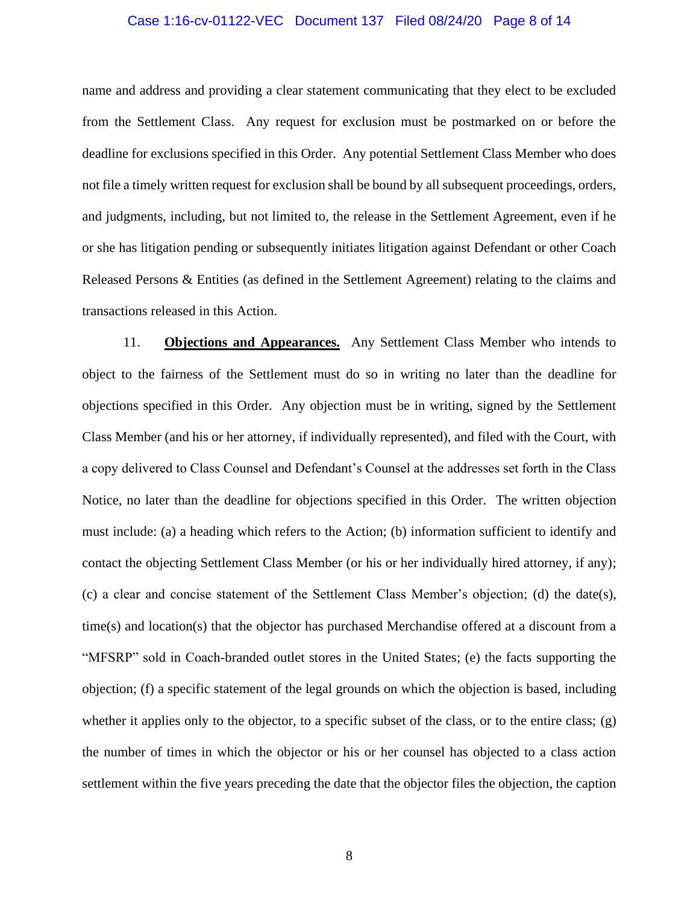# Case 1:16-cv-01122-VEC Document 137 Filed 08/24/20 Page 8 of 14

name and address and providing a clear statement communicating that they elect to be excluded from the Settlement Class. Any request for exclusion must be postmarked on or before the deadline for exclusions specified in this Order. Any potential Settlement Class Member who does not file a timely written request for exclusion shall be bound by all subsequent proceedings, orders, and judgments, including, but not limited to, the release in the Settlement Agreement, even if he or she has litigation pending or subsequently initiates litigation against Defendant or other Coach Released Persons & Entities (as defined in the Settlement Agreement) relating to the claims and transactions released in this Action.

11. **Objections and Appearances.** Any Settlement Class Member who intends to object to the fairness of the Settlement must do so in writing no later than the deadline for objections specified in this Order. Any objection must be in writing, signed by the Settlement Class Member (and his or her attorney, if individually represented), and filed with the Court, with a copy delivered to Class Counsel and Defendant's Counsel at the addresses set forth in the Class Notice, no later than the deadline for objections specified in this Order. The written objection must include: (a) a heading which refers to the Action; (b) information sufficient to identify and contact the objecting Settlement Class Member (or his or her individually hired attorney, if any); (c) a clear and concise statement of the Settlement Class Member's objection; (d) the date(s), time(s) and location(s) that the objector has purchased Merchandise offered at a discount from a "MFSRP" sold in Coach-branded outlet stores in the United States; (e) the facts supporting the objection; (f) a specific statement of the legal grounds on which the objection is based, including whether it applies only to the objector, to a specific subset of the class, or to the entire class; (g) the number of times in which the objector or his or her counsel has objected to a class action settlement within the five years preceding the date that the objector files the objection, the caption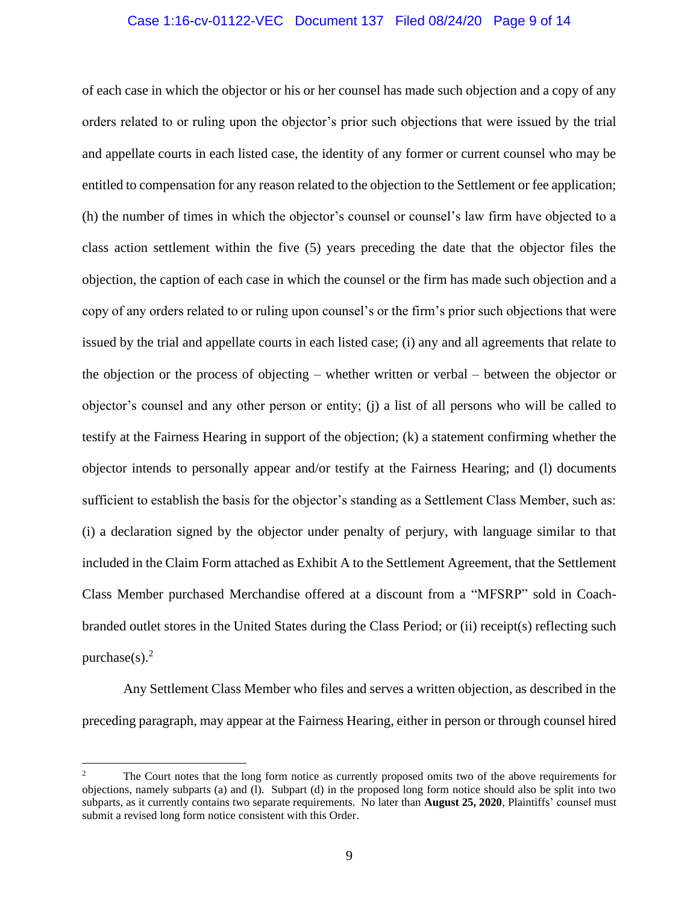# Case 1:16-cv-01122-VEC Document 137 Filed 08/24/20 Page 9 of 14

of each case in which the objector or his or her counsel has made such objection and a copy of any orders related to or ruling upon the objector's prior such objections that were issued by the trial and appellate courts in each listed case, the identity of any former or current counsel who may be entitled to compensation for any reason related to the objection to the Settlement or fee application; (h) the number of times in which the objector's counsel or counsel's law firm have objected to a class action settlement within the five (5) years preceding the date that the objector files the objection, the caption of each case in which the counsel or the firm has made such objection and a copy of any orders related to or ruling upon counsel's or the firm's prior such objections that were issued by the trial and appellate courts in each listed case; (i) any and all agreements that relate to the objection or the process of objecting – whether written or verbal – between the objector or objector's counsel and any other person or entity; (j) a list of all persons who will be called to testify at the Fairness Hearing in support of the objection; (k) a statement confirming whether the objector intends to personally appear and/or testify at the Fairness Hearing; and (l) documents sufficient to establish the basis for the objector's standing as a Settlement Class Member, such as: (i) a declaration signed by the objector under penalty of perjury, with language similar to that included in the Claim Form attached as Exhibit A to the Settlement Agreement, that the Settlement Class Member purchased Merchandise offered at a discount from a "MFSRP" sold in Coachbranded outlet stores in the United States during the Class Period; or (ii) receipt(s) reflecting such purchase $(s)$ <sup>2</sup>

Any Settlement Class Member who files and serves a written objection, as described in the preceding paragraph, may appear at the Fairness Hearing, either in person or through counsel hired

<sup>&</sup>lt;sup>2</sup> The Court notes that the long form notice as currently proposed omits two of the above requirements for objections, namely subparts (a) and (l). Subpart (d) in the proposed long form notice should also be split into two subparts, as it currently contains two separate requirements. No later than **August 25, 2020**, Plaintiffs' counsel must submit a revised long form notice consistent with this Order.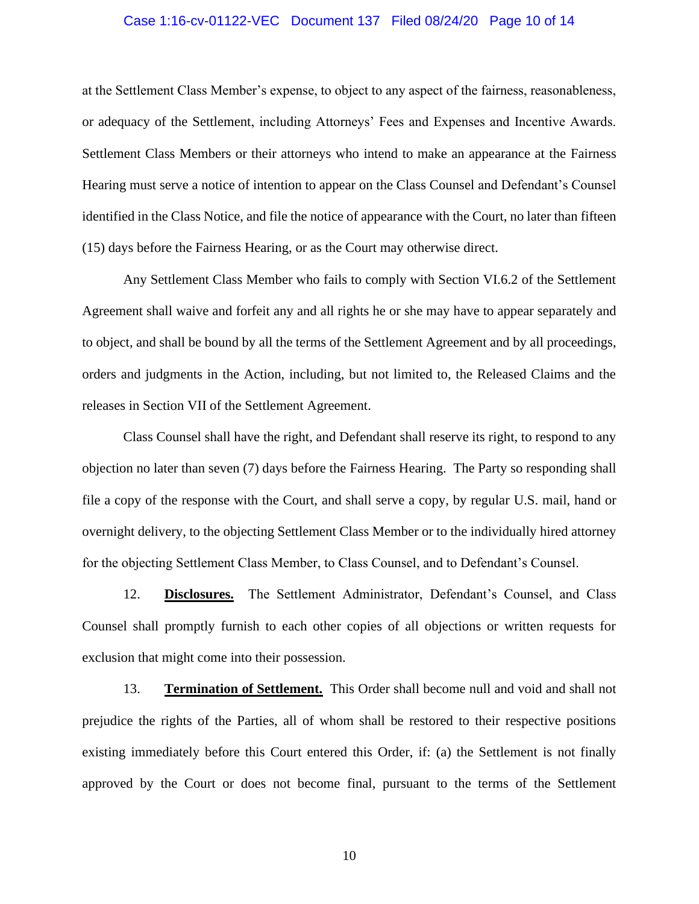#### Case 1:16-cv-01122-VEC Document 137 Filed 08/24/20 Page 10 of 14

at the Settlement Class Member's expense, to object to any aspect of the fairness, reasonableness, or adequacy of the Settlement, including Attorneys' Fees and Expenses and Incentive Awards. Settlement Class Members or their attorneys who intend to make an appearance at the Fairness Hearing must serve a notice of intention to appear on the Class Counsel and Defendant's Counsel identified in the Class Notice, and file the notice of appearance with the Court, no later than fifteen (15) days before the Fairness Hearing, or as the Court may otherwise direct.

Any Settlement Class Member who fails to comply with Section VI.6.2 of the Settlement Agreement shall waive and forfeit any and all rights he or she may have to appear separately and to object, and shall be bound by all the terms of the Settlement Agreement and by all proceedings, orders and judgments in the Action, including, but not limited to, the Released Claims and the releases in Section VII of the Settlement Agreement.

Class Counsel shall have the right, and Defendant shall reserve its right, to respond to any objection no later than seven (7) days before the Fairness Hearing. The Party so responding shall file a copy of the response with the Court, and shall serve a copy, by regular U.S. mail, hand or overnight delivery, to the objecting Settlement Class Member or to the individually hired attorney for the objecting Settlement Class Member, to Class Counsel, and to Defendant's Counsel.

12. **Disclosures.** The Settlement Administrator, Defendant's Counsel, and Class Counsel shall promptly furnish to each other copies of all objections or written requests for exclusion that might come into their possession.

13. **Termination of Settlement.** This Order shall become null and void and shall not prejudice the rights of the Parties, all of whom shall be restored to their respective positions existing immediately before this Court entered this Order, if: (a) the Settlement is not finally approved by the Court or does not become final, pursuant to the terms of the Settlement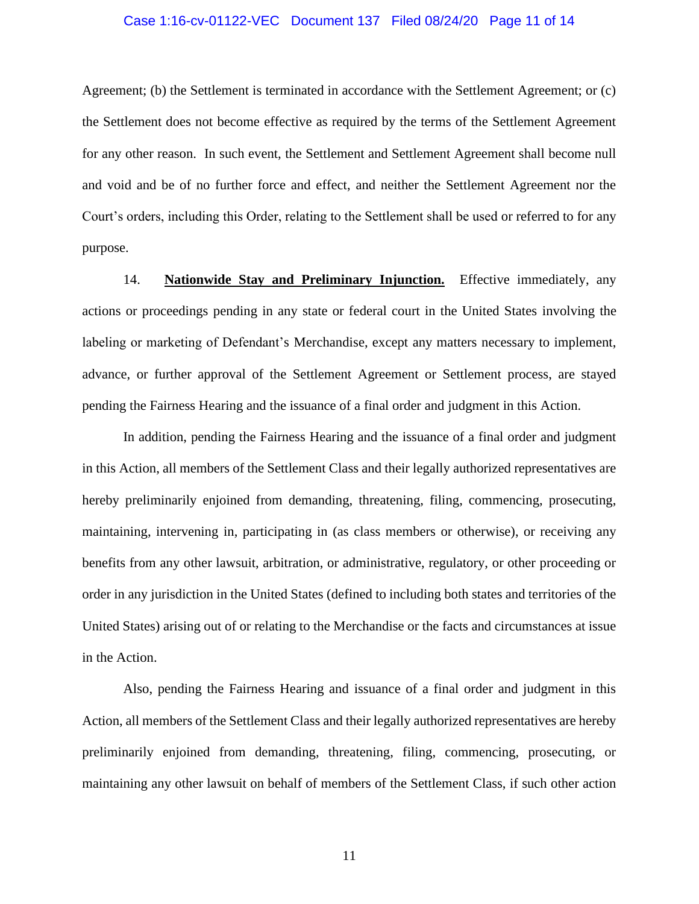#### Case 1:16-cv-01122-VEC Document 137 Filed 08/24/20 Page 11 of 14

Agreement; (b) the Settlement is terminated in accordance with the Settlement Agreement; or (c) the Settlement does not become effective as required by the terms of the Settlement Agreement for any other reason. In such event, the Settlement and Settlement Agreement shall become null and void and be of no further force and effect, and neither the Settlement Agreement nor the Court's orders, including this Order, relating to the Settlement shall be used or referred to for any purpose.

14. **Nationwide Stay and Preliminary Injunction.** Effective immediately, any actions or proceedings pending in any state or federal court in the United States involving the labeling or marketing of Defendant's Merchandise, except any matters necessary to implement, advance, or further approval of the Settlement Agreement or Settlement process, are stayed pending the Fairness Hearing and the issuance of a final order and judgment in this Action.

In addition, pending the Fairness Hearing and the issuance of a final order and judgment in this Action, all members of the Settlement Class and their legally authorized representatives are hereby preliminarily enjoined from demanding, threatening, filing, commencing, prosecuting, maintaining, intervening in, participating in (as class members or otherwise), or receiving any benefits from any other lawsuit, arbitration, or administrative, regulatory, or other proceeding or order in any jurisdiction in the United States (defined to including both states and territories of the United States) arising out of or relating to the Merchandise or the facts and circumstances at issue in the Action.

Also, pending the Fairness Hearing and issuance of a final order and judgment in this Action, all members of the Settlement Class and their legally authorized representatives are hereby preliminarily enjoined from demanding, threatening, filing, commencing, prosecuting, or maintaining any other lawsuit on behalf of members of the Settlement Class, if such other action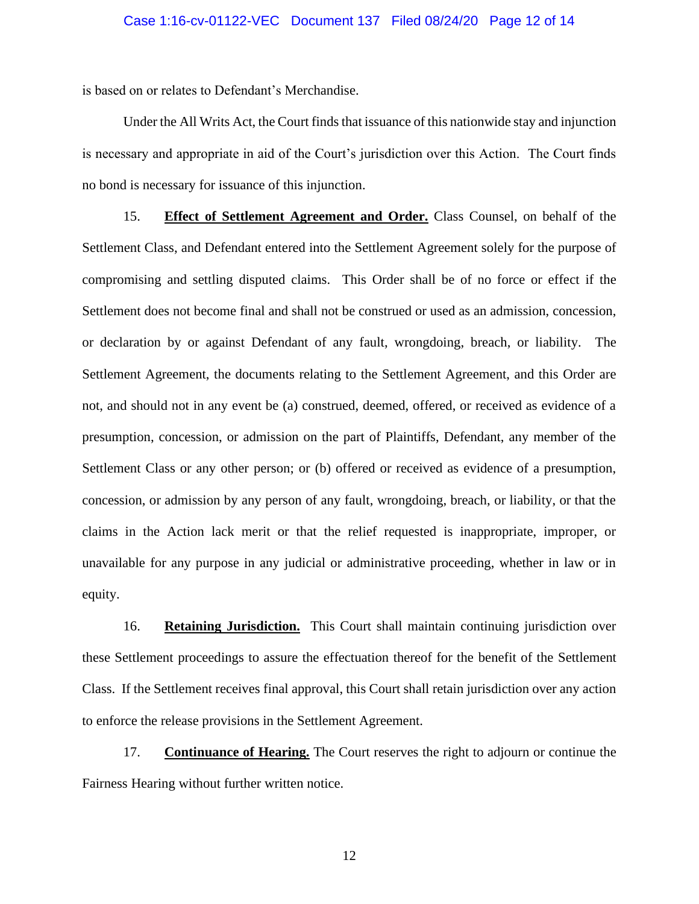is based on or relates to Defendant's Merchandise.

Under the All Writs Act, the Court finds that issuance of this nationwide stay and injunction is necessary and appropriate in aid of the Court's jurisdiction over this Action. The Court finds no bond is necessary for issuance of this injunction.

15. **Effect of Settlement Agreement and Order.** Class Counsel, on behalf of the Settlement Class, and Defendant entered into the Settlement Agreement solely for the purpose of compromising and settling disputed claims. This Order shall be of no force or effect if the Settlement does not become final and shall not be construed or used as an admission, concession, or declaration by or against Defendant of any fault, wrongdoing, breach, or liability. The Settlement Agreement, the documents relating to the Settlement Agreement, and this Order are not, and should not in any event be (a) construed, deemed, offered, or received as evidence of a presumption, concession, or admission on the part of Plaintiffs, Defendant, any member of the Settlement Class or any other person; or (b) offered or received as evidence of a presumption, concession, or admission by any person of any fault, wrongdoing, breach, or liability, or that the claims in the Action lack merit or that the relief requested is inappropriate, improper, or unavailable for any purpose in any judicial or administrative proceeding, whether in law or in equity.

16. **Retaining Jurisdiction.** This Court shall maintain continuing jurisdiction over these Settlement proceedings to assure the effectuation thereof for the benefit of the Settlement Class. If the Settlement receives final approval, this Court shall retain jurisdiction over any action to enforce the release provisions in the Settlement Agreement.

17. **Continuance of Hearing.** The Court reserves the right to adjourn or continue the Fairness Hearing without further written notice.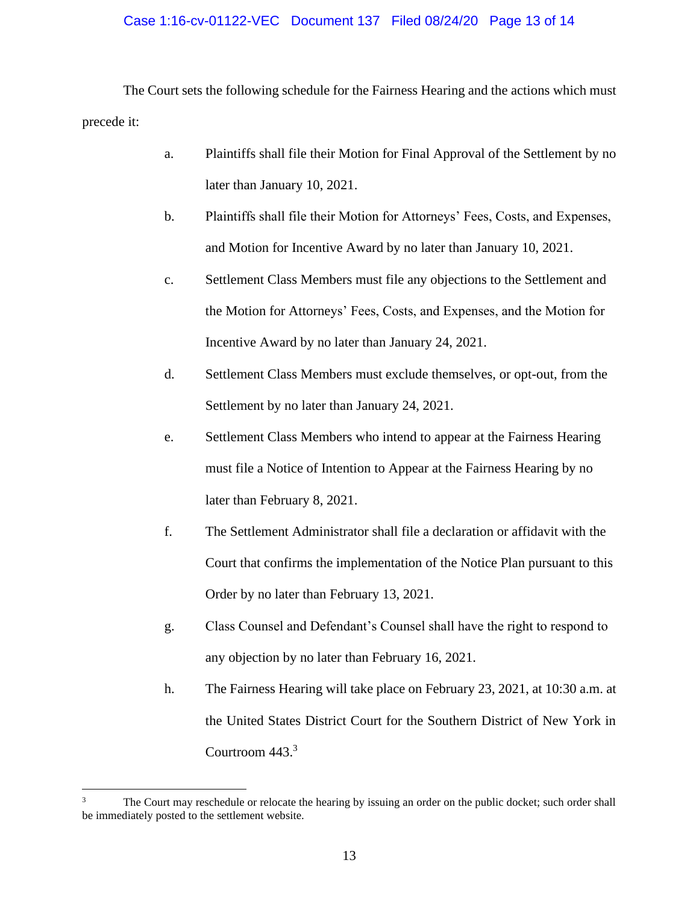# Case 1:16-cv-01122-VEC Document 137 Filed 08/24/20 Page 13 of 14

The Court sets the following schedule for the Fairness Hearing and the actions which must precede it:

- a. Plaintiffs shall file their Motion for Final Approval of the Settlement by no later than January 10, 2021.
- b. Plaintiffs shall file their Motion for Attorneys' Fees, Costs, and Expenses, and Motion for Incentive Award by no later than January 10, 2021.
- c. Settlement Class Members must file any objections to the Settlement and the Motion for Attorneys' Fees, Costs, and Expenses, and the Motion for Incentive Award by no later than January 24, 2021.
- d. Settlement Class Members must exclude themselves, or opt-out, from the Settlement by no later than January 24, 2021.
- e. Settlement Class Members who intend to appear at the Fairness Hearing must file a Notice of Intention to Appear at the Fairness Hearing by no later than February 8, 2021.
- f. The Settlement Administrator shall file a declaration or affidavit with the Court that confirms the implementation of the Notice Plan pursuant to this Order by no later than February 13, 2021.
- g. Class Counsel and Defendant's Counsel shall have the right to respond to any objection by no later than February 16, 2021.
- h. The Fairness Hearing will take place on February 23, 2021, at 10:30 a.m. at the United States District Court for the Southern District of New York in Courtroom 443.<sup>3</sup>

<sup>&</sup>lt;sup>3</sup> The Court may reschedule or relocate the hearing by issuing an order on the public docket; such order shall be immediately posted to the settlement website.